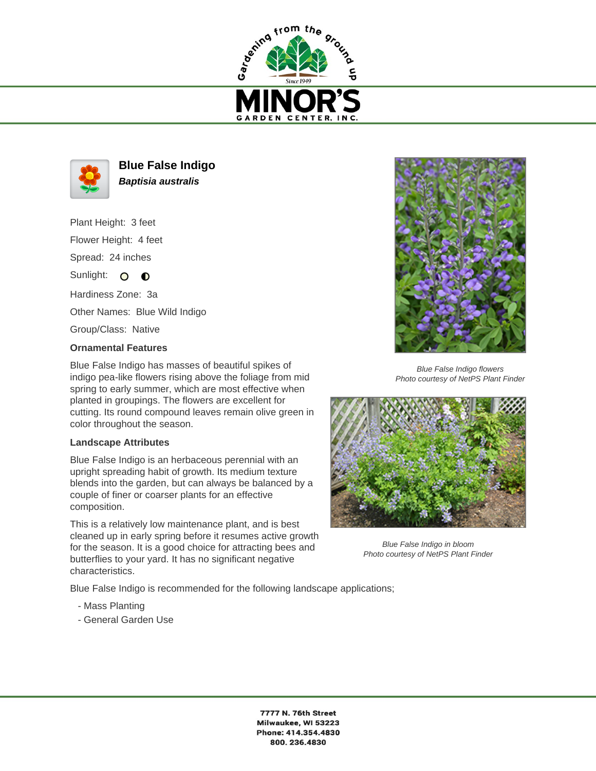



**Blue False Indigo Baptisia australis**

Plant Height: 3 feet Flower Height: 4 feet Spread: 24 inches

Sunlight:  $\circ$  $\bullet$ 

Hardiness Zone: 3a

Other Names: Blue Wild Indigo

Group/Class: Native

## **Ornamental Features**

Blue False Indigo has masses of beautiful spikes of indigo pea-like flowers rising above the foliage from mid spring to early summer, which are most effective when planted in groupings. The flowers are excellent for cutting. Its round compound leaves remain olive green in color throughout the season.

## **Landscape Attributes**

Blue False Indigo is an herbaceous perennial with an upright spreading habit of growth. Its medium texture blends into the garden, but can always be balanced by a couple of finer or coarser plants for an effective composition.

This is a relatively low maintenance plant, and is best cleaned up in early spring before it resumes active growth for the season. It is a good choice for attracting bees and butterflies to your yard. It has no significant negative characteristics.

Blue False Indigo is recommended for the following landscape applications;

- Mass Planting
- General Garden Use



Blue False Indigo flowers Photo courtesy of NetPS Plant Finder



Blue False Indigo in bloom Photo courtesy of NetPS Plant Finder

7777 N. 76th Street Milwaukee, WI 53223 Phone: 414.354.4830 800.236.4830